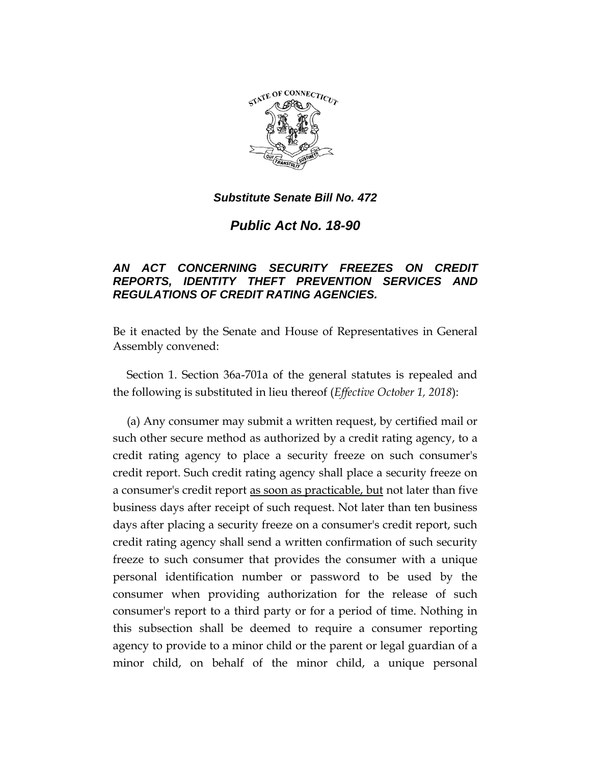

*Public Act No. 18-90*

# *AN ACT CONCERNING SECURITY FREEZES ON CREDIT REPORTS, IDENTITY THEFT PREVENTION SERVICES AND REGULATIONS OF CREDIT RATING AGENCIES.*

Be it enacted by the Senate and House of Representatives in General Assembly convened:

Section 1. Section 36a-701a of the general statutes is repealed and the following is substituted in lieu thereof (*Effective October 1, 2018*):

(a) Any consumer may submit a written request, by certified mail or such other secure method as authorized by a credit rating agency, to a credit rating agency to place a security freeze on such consumer's credit report. Such credit rating agency shall place a security freeze on a consumer's credit report as soon as practicable, but not later than five business days after receipt of such request. Not later than ten business days after placing a security freeze on a consumer's credit report, such credit rating agency shall send a written confirmation of such security freeze to such consumer that provides the consumer with a unique personal identification number or password to be used by the consumer when providing authorization for the release of such consumer's report to a third party or for a period of time. Nothing in this subsection shall be deemed to require a consumer reporting agency to provide to a minor child or the parent or legal guardian of a minor child, on behalf of the minor child, a unique personal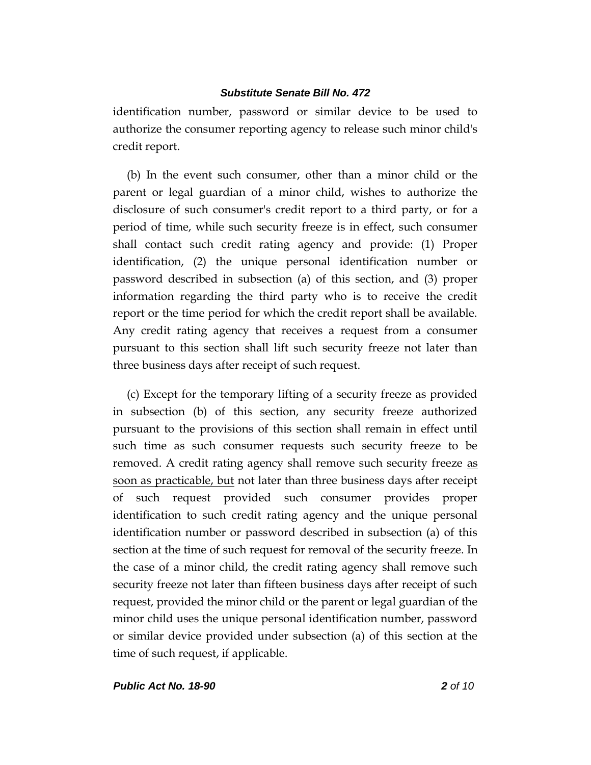identification number, password or similar device to be used to authorize the consumer reporting agency to release such minor child's credit report.

(b) In the event such consumer, other than a minor child or the parent or legal guardian of a minor child, wishes to authorize the disclosure of such consumer's credit report to a third party, or for a period of time, while such security freeze is in effect, such consumer shall contact such credit rating agency and provide: (1) Proper identification, (2) the unique personal identification number or password described in subsection (a) of this section, and (3) proper information regarding the third party who is to receive the credit report or the time period for which the credit report shall be available. Any credit rating agency that receives a request from a consumer pursuant to this section shall lift such security freeze not later than three business days after receipt of such request.

(c) Except for the temporary lifting of a security freeze as provided in subsection (b) of this section, any security freeze authorized pursuant to the provisions of this section shall remain in effect until such time as such consumer requests such security freeze to be removed. A credit rating agency shall remove such security freeze as soon as practicable, but not later than three business days after receipt of such request provided such consumer provides proper identification to such credit rating agency and the unique personal identification number or password described in subsection (a) of this section at the time of such request for removal of the security freeze. In the case of a minor child, the credit rating agency shall remove such security freeze not later than fifteen business days after receipt of such request, provided the minor child or the parent or legal guardian of the minor child uses the unique personal identification number, password or similar device provided under subsection (a) of this section at the time of such request, if applicable.

*Public Act No. 18-90 2 of 10*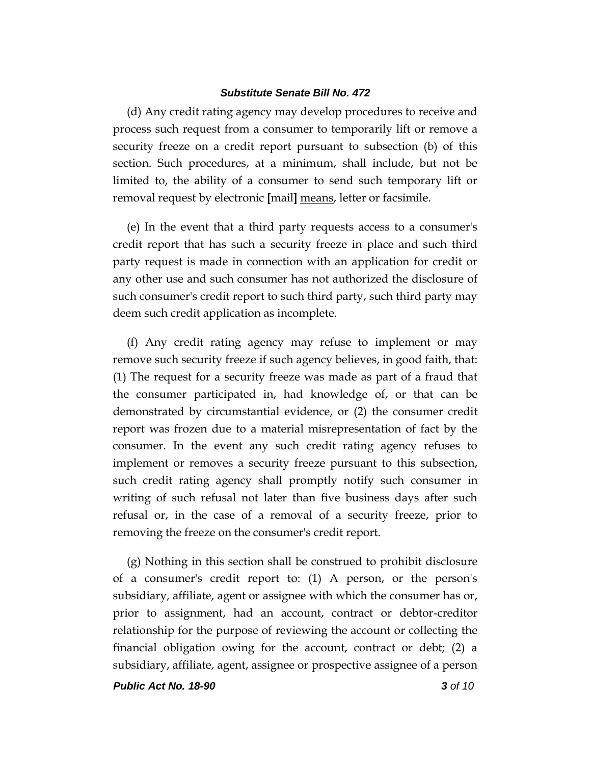(d) Any credit rating agency may develop procedures to receive and process such request from a consumer to temporarily lift or remove a security freeze on a credit report pursuant to subsection (b) of this section. Such procedures, at a minimum, shall include, but not be limited to, the ability of a consumer to send such temporary lift or removal request by electronic **[**mail**]** means, letter or facsimile.

(e) In the event that a third party requests access to a consumer's credit report that has such a security freeze in place and such third party request is made in connection with an application for credit or any other use and such consumer has not authorized the disclosure of such consumer's credit report to such third party, such third party may deem such credit application as incomplete.

(f) Any credit rating agency may refuse to implement or may remove such security freeze if such agency believes, in good faith, that: (1) The request for a security freeze was made as part of a fraud that the consumer participated in, had knowledge of, or that can be demonstrated by circumstantial evidence, or (2) the consumer credit report was frozen due to a material misrepresentation of fact by the consumer. In the event any such credit rating agency refuses to implement or removes a security freeze pursuant to this subsection, such credit rating agency shall promptly notify such consumer in writing of such refusal not later than five business days after such refusal or, in the case of a removal of a security freeze, prior to removing the freeze on the consumer's credit report.

(g) Nothing in this section shall be construed to prohibit disclosure of a consumer's credit report to: (1) A person, or the person's subsidiary, affiliate, agent or assignee with which the consumer has or, prior to assignment, had an account, contract or debtor-creditor relationship for the purpose of reviewing the account or collecting the financial obligation owing for the account, contract or debt; (2) a subsidiary, affiliate, agent, assignee or prospective assignee of a person

*Public Act No. 18-90 3 of 10*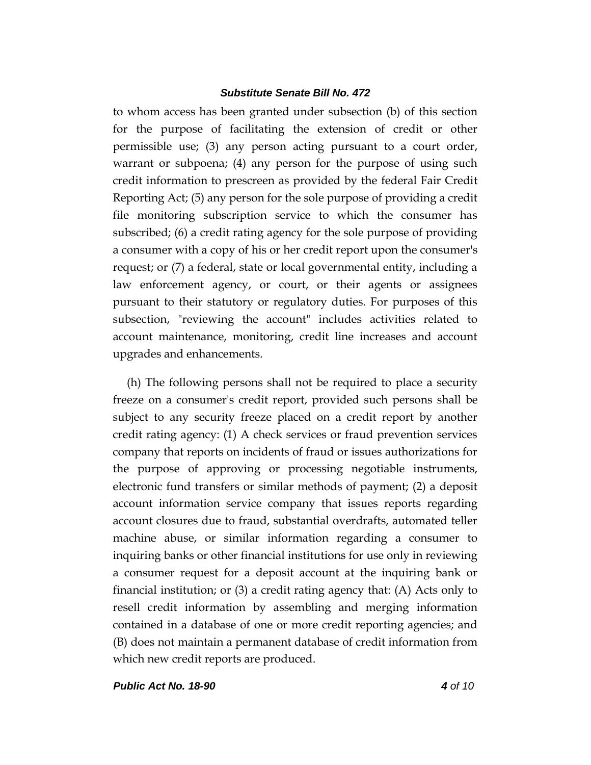to whom access has been granted under subsection (b) of this section for the purpose of facilitating the extension of credit or other permissible use; (3) any person acting pursuant to a court order, warrant or subpoena; (4) any person for the purpose of using such credit information to prescreen as provided by the federal Fair Credit Reporting Act; (5) any person for the sole purpose of providing a credit file monitoring subscription service to which the consumer has subscribed; (6) a credit rating agency for the sole purpose of providing a consumer with a copy of his or her credit report upon the consumer's request; or (7) a federal, state or local governmental entity, including a law enforcement agency, or court, or their agents or assignees pursuant to their statutory or regulatory duties. For purposes of this subsection, "reviewing the account" includes activities related to account maintenance, monitoring, credit line increases and account upgrades and enhancements.

(h) The following persons shall not be required to place a security freeze on a consumer's credit report, provided such persons shall be subject to any security freeze placed on a credit report by another credit rating agency: (1) A check services or fraud prevention services company that reports on incidents of fraud or issues authorizations for the purpose of approving or processing negotiable instruments, electronic fund transfers or similar methods of payment; (2) a deposit account information service company that issues reports regarding account closures due to fraud, substantial overdrafts, automated teller machine abuse, or similar information regarding a consumer to inquiring banks or other financial institutions for use only in reviewing a consumer request for a deposit account at the inquiring bank or financial institution; or  $(3)$  a credit rating agency that:  $(A)$  Acts only to resell credit information by assembling and merging information contained in a database of one or more credit reporting agencies; and (B) does not maintain a permanent database of credit information from which new credit reports are produced.

*Public Act No. 18-90 4 of 10*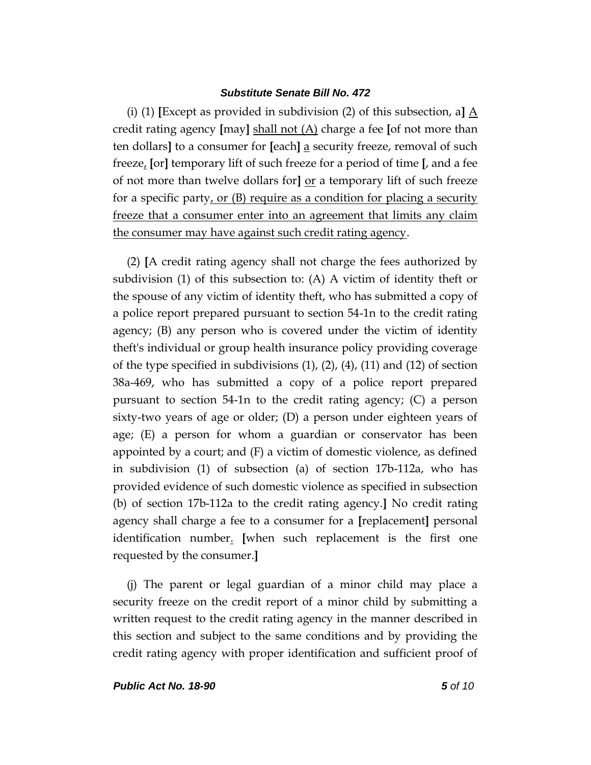(i) (1) **[**Except as provided in subdivision (2) of this subsection, a**]** A credit rating agency **[**may**]** shall not (A) charge a fee **[**of not more than ten dollars**]** to a consumer for **[**each**]** a security freeze, removal of such freeze, **[**or**]** temporary lift of such freeze for a period of time **[**, and a fee of not more than twelve dollars for**]** or a temporary lift of such freeze for a specific party, or (B) require as a condition for placing a security freeze that a consumer enter into an agreement that limits any claim the consumer may have against such credit rating agency.

(2) **[**A credit rating agency shall not charge the fees authorized by subdivision (1) of this subsection to: (A) A victim of identity theft or the spouse of any victim of identity theft, who has submitted a copy of a police report prepared pursuant to section 54-1n to the credit rating agency; (B) any person who is covered under the victim of identity theft's individual or group health insurance policy providing coverage of the type specified in subdivisions (1), (2), (4), (11) and (12) of section 38a-469, who has submitted a copy of a police report prepared pursuant to section 54-1n to the credit rating agency; (C) a person sixty-two years of age or older; (D) a person under eighteen years of age; (E) a person for whom a guardian or conservator has been appointed by a court; and (F) a victim of domestic violence, as defined in subdivision (1) of subsection (a) of section 17b-112a, who has provided evidence of such domestic violence as specified in subsection (b) of section 17b-112a to the credit rating agency.**]** No credit rating agency shall charge a fee to a consumer for a **[**replacement**]** personal identification number. **[**when such replacement is the first one requested by the consumer.**]**

(j) The parent or legal guardian of a minor child may place a security freeze on the credit report of a minor child by submitting a written request to the credit rating agency in the manner described in this section and subject to the same conditions and by providing the credit rating agency with proper identification and sufficient proof of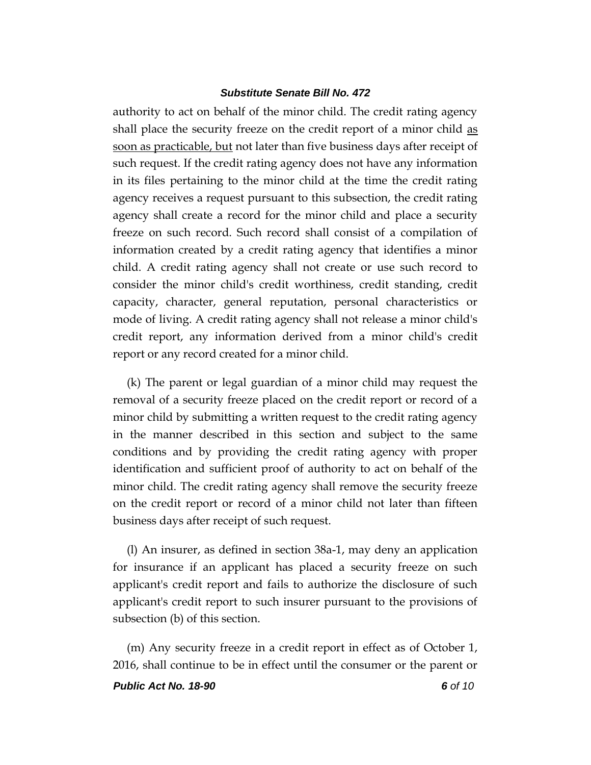authority to act on behalf of the minor child. The credit rating agency shall place the security freeze on the credit report of a minor child as soon as practicable, but not later than five business days after receipt of such request. If the credit rating agency does not have any information in its files pertaining to the minor child at the time the credit rating agency receives a request pursuant to this subsection, the credit rating agency shall create a record for the minor child and place a security freeze on such record. Such record shall consist of a compilation of information created by a credit rating agency that identifies a minor child. A credit rating agency shall not create or use such record to consider the minor child's credit worthiness, credit standing, credit capacity, character, general reputation, personal characteristics or mode of living. A credit rating agency shall not release a minor child's credit report, any information derived from a minor child's credit report or any record created for a minor child.

(k) The parent or legal guardian of a minor child may request the removal of a security freeze placed on the credit report or record of a minor child by submitting a written request to the credit rating agency in the manner described in this section and subject to the same conditions and by providing the credit rating agency with proper identification and sufficient proof of authority to act on behalf of the minor child. The credit rating agency shall remove the security freeze on the credit report or record of a minor child not later than fifteen business days after receipt of such request.

(l) An insurer, as defined in section 38a-1, may deny an application for insurance if an applicant has placed a security freeze on such applicant's credit report and fails to authorize the disclosure of such applicant's credit report to such insurer pursuant to the provisions of subsection (b) of this section.

(m) Any security freeze in a credit report in effect as of October 1, 2016, shall continue to be in effect until the consumer or the parent or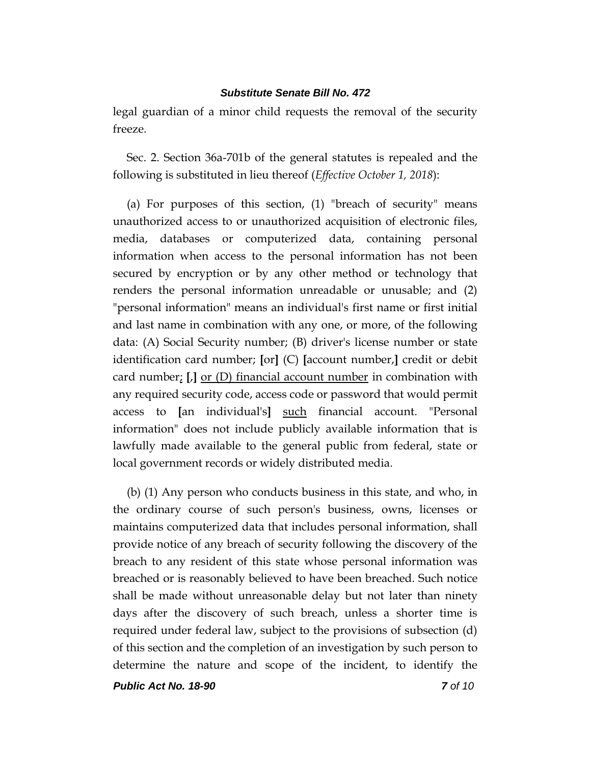legal guardian of a minor child requests the removal of the security freeze.

Sec. 2. Section 36a-701b of the general statutes is repealed and the following is substituted in lieu thereof (*Effective October 1, 2018*):

(a) For purposes of this section, (1) "breach of security" means unauthorized access to or unauthorized acquisition of electronic files, media, databases or computerized data, containing personal information when access to the personal information has not been secured by encryption or by any other method or technology that renders the personal information unreadable or unusable; and (2) "personal information" means an individual's first name or first initial and last name in combination with any one, or more, of the following data: (A) Social Security number; (B) driver's license number or state identification card number; **[**or**]** (C) **[**account number,**]** credit or debit card number; **[**,**]** or (D) financial account number in combination with any required security code, access code or password that would permit access to **[**an individual's**]** such financial account. "Personal information" does not include publicly available information that is lawfully made available to the general public from federal, state or local government records or widely distributed media.

(b) (1) Any person who conducts business in this state, and who, in the ordinary course of such person's business, owns, licenses or maintains computerized data that includes personal information, shall provide notice of any breach of security following the discovery of the breach to any resident of this state whose personal information was breached or is reasonably believed to have been breached. Such notice shall be made without unreasonable delay but not later than ninety days after the discovery of such breach, unless a shorter time is required under federal law, subject to the provisions of subsection (d) of this section and the completion of an investigation by such person to determine the nature and scope of the incident, to identify the

*Public Act No. 18-90 7 of 10*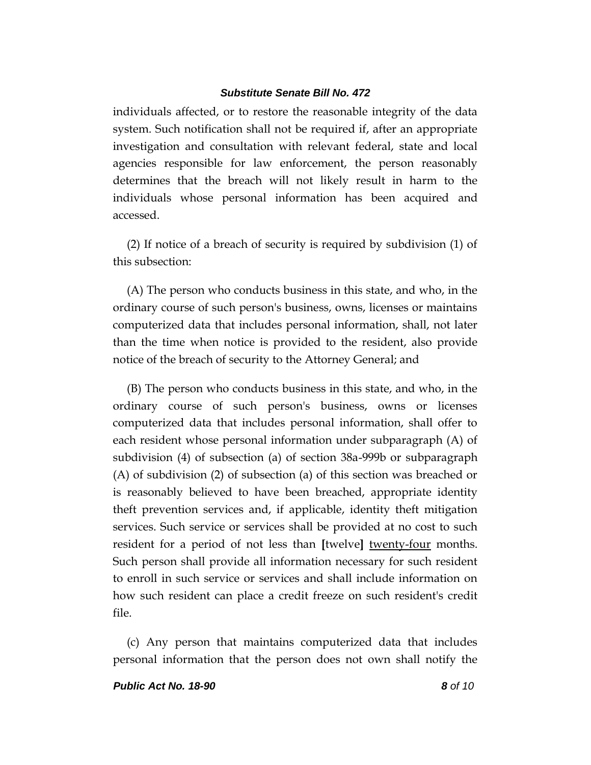individuals affected, or to restore the reasonable integrity of the data system. Such notification shall not be required if, after an appropriate investigation and consultation with relevant federal, state and local agencies responsible for law enforcement, the person reasonably determines that the breach will not likely result in harm to the individuals whose personal information has been acquired and accessed.

(2) If notice of a breach of security is required by subdivision (1) of this subsection:

(A) The person who conducts business in this state, and who, in the ordinary course of such person's business, owns, licenses or maintains computerized data that includes personal information, shall, not later than the time when notice is provided to the resident, also provide notice of the breach of security to the Attorney General; and

(B) The person who conducts business in this state, and who, in the ordinary course of such person's business, owns or licenses computerized data that includes personal information, shall offer to each resident whose personal information under subparagraph (A) of subdivision (4) of subsection (a) of section 38a-999b or subparagraph (A) of subdivision (2) of subsection (a) of this section was breached or is reasonably believed to have been breached, appropriate identity theft prevention services and, if applicable, identity theft mitigation services. Such service or services shall be provided at no cost to such resident for a period of not less than **[**twelve**]** twenty-four months. Such person shall provide all information necessary for such resident to enroll in such service or services and shall include information on how such resident can place a credit freeze on such resident's credit file.

(c) Any person that maintains computerized data that includes personal information that the person does not own shall notify the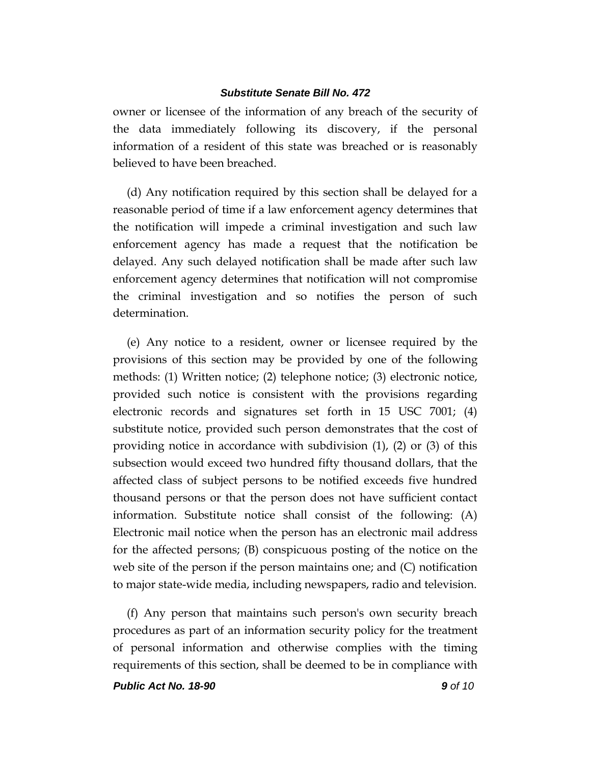owner or licensee of the information of any breach of the security of the data immediately following its discovery, if the personal information of a resident of this state was breached or is reasonably believed to have been breached.

(d) Any notification required by this section shall be delayed for a reasonable period of time if a law enforcement agency determines that the notification will impede a criminal investigation and such law enforcement agency has made a request that the notification be delayed. Any such delayed notification shall be made after such law enforcement agency determines that notification will not compromise the criminal investigation and so notifies the person of such determination.

(e) Any notice to a resident, owner or licensee required by the provisions of this section may be provided by one of the following methods: (1) Written notice; (2) telephone notice; (3) electronic notice, provided such notice is consistent with the provisions regarding electronic records and signatures set forth in 15 USC 7001; (4) substitute notice, provided such person demonstrates that the cost of providing notice in accordance with subdivision  $(1)$ ,  $(2)$  or  $(3)$  of this subsection would exceed two hundred fifty thousand dollars, that the affected class of subject persons to be notified exceeds five hundred thousand persons or that the person does not have sufficient contact information. Substitute notice shall consist of the following: (A) Electronic mail notice when the person has an electronic mail address for the affected persons; (B) conspicuous posting of the notice on the web site of the person if the person maintains one; and (C) notification to major state-wide media, including newspapers, radio and television.

(f) Any person that maintains such person's own security breach procedures as part of an information security policy for the treatment of personal information and otherwise complies with the timing requirements of this section, shall be deemed to be in compliance with